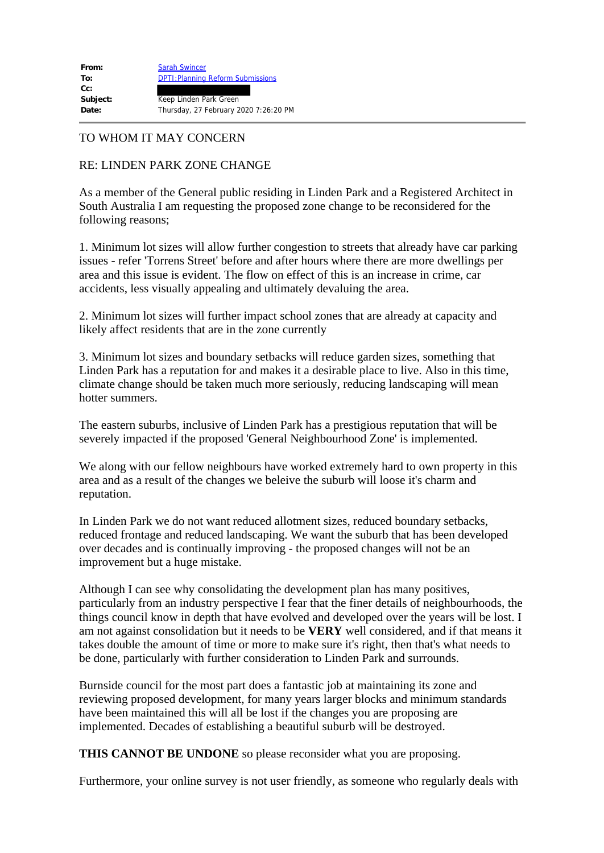## TO WHOM IT MAY CONCERN

## RE: LINDEN PARK ZONE CHANGE

As a member of the General public residing in Linden Park and a Registered Architect in South Australia I am requesting the proposed zone change to be reconsidered for the following reasons;

1. Minimum lot sizes will allow further congestion to streets that already have car parking issues - refer 'Torrens Street' before and after hours where there are more dwellings per area and this issue is evident. The flow on effect of this is an increase in crime, car accidents, less visually appealing and ultimately devaluing the area.

2. Minimum lot sizes will further impact school zones that are already at capacity and likely affect residents that are in the zone currently

3. Minimum lot sizes and boundary setbacks will reduce garden sizes, something that Linden Park has a reputation for and makes it a desirable place to live. Also in this time, climate change should be taken much more seriously, reducing landscaping will mean hotter summers.

The eastern suburbs, inclusive of Linden Park has a prestigious reputation that will be severely impacted if the proposed 'General Neighbourhood Zone' is implemented.

We along with our fellow neighbours have worked extremely hard to own property in this area and as a result of the changes we beleive the suburb will loose it's charm and reputation.

In Linden Park we do not want reduced allotment sizes, reduced boundary setbacks, reduced frontage and reduced landscaping. We want the suburb that has been developed over decades and is continually improving - the proposed changes will not be an improvement but a huge mistake.

Although I can see why consolidating the development plan has many positives, particularly from an industry perspective I fear that the finer details of neighbourhoods, the things council know in depth that have evolved and developed over the years will be lost. I am not against consolidation but it needs to be **VERY** well considered, and if that means it takes double the amount of time or more to make sure it's right, then that's what needs to be done, particularly with further consideration to Linden Park and surrounds.

Burnside council for the most part does a fantastic job at maintaining its zone and reviewing proposed development, for many years larger blocks and minimum standards have been maintained this will all be lost if the changes you are proposing are implemented. Decades of establishing a beautiful suburb will be destroyed.

**THIS CANNOT BE UNDONE** so please reconsider what you are proposing.

Furthermore, your online survey is not user friendly, as someone who regularly deals with